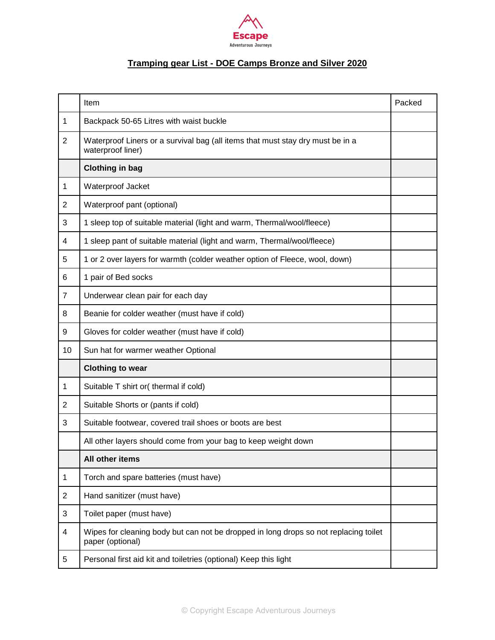

# **Tramping gear List - DOE Camps Bronze and Silver 2020**

|                | Item                                                                                                     | Packed |
|----------------|----------------------------------------------------------------------------------------------------------|--------|
| 1              | Backpack 50-65 Litres with waist buckle                                                                  |        |
| $\overline{2}$ | Waterproof Liners or a survival bag (all items that must stay dry must be in a<br>waterproof liner)      |        |
|                | <b>Clothing in bag</b>                                                                                   |        |
| 1              | Waterproof Jacket                                                                                        |        |
| $\overline{2}$ | Waterproof pant (optional)                                                                               |        |
| 3              | 1 sleep top of suitable material (light and warm, Thermal/wool/fleece)                                   |        |
| 4              | 1 sleep pant of suitable material (light and warm, Thermal/wool/fleece)                                  |        |
| 5              | 1 or 2 over layers for warmth (colder weather option of Fleece, wool, down)                              |        |
| 6              | 1 pair of Bed socks                                                                                      |        |
| $\overline{7}$ | Underwear clean pair for each day                                                                        |        |
| 8              | Beanie for colder weather (must have if cold)                                                            |        |
| 9              | Gloves for colder weather (must have if cold)                                                            |        |
| 10             | Sun hat for warmer weather Optional                                                                      |        |
|                | <b>Clothing to wear</b>                                                                                  |        |
| 1              | Suitable T shirt or( thermal if cold)                                                                    |        |
| $\overline{2}$ | Suitable Shorts or (pants if cold)                                                                       |        |
| 3              | Suitable footwear, covered trail shoes or boots are best                                                 |        |
|                | All other layers should come from your bag to keep weight down                                           |        |
|                | All other items                                                                                          |        |
| 1              | Torch and spare batteries (must have)                                                                    |        |
| $\overline{c}$ | Hand sanitizer (must have)                                                                               |        |
| 3              | Toilet paper (must have)                                                                                 |        |
| 4              | Wipes for cleaning body but can not be dropped in long drops so not replacing toilet<br>paper (optional) |        |
| 5              | Personal first aid kit and toiletries (optional) Keep this light                                         |        |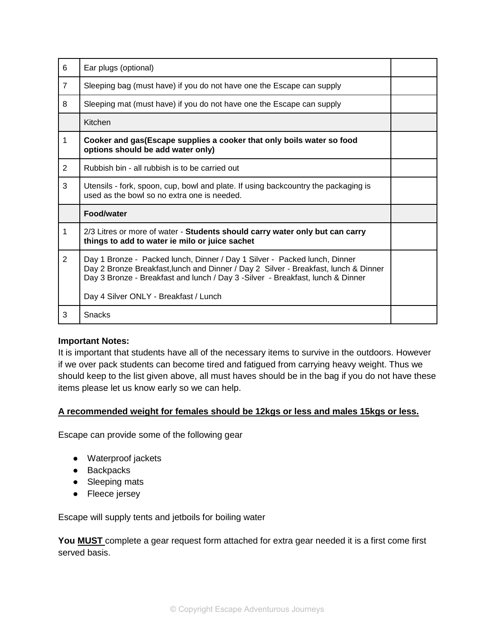| 6              | Ear plugs (optional)                                                                                                                                                                                                                                                                         |  |
|----------------|----------------------------------------------------------------------------------------------------------------------------------------------------------------------------------------------------------------------------------------------------------------------------------------------|--|
| $\overline{7}$ | Sleeping bag (must have) if you do not have one the Escape can supply                                                                                                                                                                                                                        |  |
| 8              | Sleeping mat (must have) if you do not have one the Escape can supply                                                                                                                                                                                                                        |  |
|                | Kitchen                                                                                                                                                                                                                                                                                      |  |
| 1              | Cooker and gas (Escape supplies a cooker that only boils water so food<br>options should be add water only)                                                                                                                                                                                  |  |
| 2              | Rubbish bin - all rubbish is to be carried out                                                                                                                                                                                                                                               |  |
| 3              | Utensils - fork, spoon, cup, bowl and plate. If using backcountry the packaging is<br>used as the bowl so no extra one is needed.                                                                                                                                                            |  |
|                | Food/water                                                                                                                                                                                                                                                                                   |  |
| 1              | 2/3 Litres or more of water - Students should carry water only but can carry<br>things to add to water ie milo or juice sachet                                                                                                                                                               |  |
| $\overline{2}$ | Day 1 Bronze - Packed lunch, Dinner / Day 1 Silver - Packed lunch, Dinner<br>Day 2 Bronze Breakfast, lunch and Dinner / Day 2 Silver - Breakfast, lunch & Dinner<br>Day 3 Bronze - Breakfast and lunch / Day 3 - Silver - Breakfast, lunch & Dinner<br>Day 4 Silver ONLY - Breakfast / Lunch |  |
| 3              | <b>Snacks</b>                                                                                                                                                                                                                                                                                |  |

## **Important Notes:**

It is important that students have all of the necessary items to survive in the outdoors. However if we over pack students can become tired and fatigued from carrying heavy weight. Thus we should keep to the list given above, all must haves should be in the bag if you do not have these items please let us know early so we can help.

## **A recommended weight for females should be 12kgs or less and males 15kgs or less.**

Escape can provide some of the following gear

- Waterproof jackets
- Backpacks
- Sleeping mats
- Fleece jersey

Escape will supply tents and jetboils for boiling water

**You MUST** complete a gear request form attached for extra gear needed it is a first come first served basis.